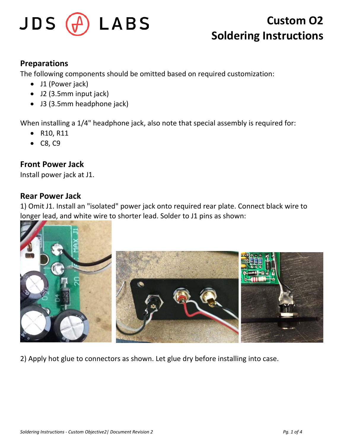

#### **Preparations**

The following components should be omitted based on required customization:

- J1 (Power jack)
- J2 (3.5mm input jack)
- J3 (3.5mm headphone jack)

When installing a 1/4" headphone jack, also note that special assembly is required for:

- R10, R11
- C8, C9

### **Front Power Jack**

Install power jack at J1.

#### **Rear Power Jack**

1) Omit J1. Install an "isolated" power jack onto required rear plate. Connect black wire to longer lead, and white wire to shorter lead. Solder to J1 pins as shown:



2) Apply hot glue to connectors as shown. Let glue dry before installing into case.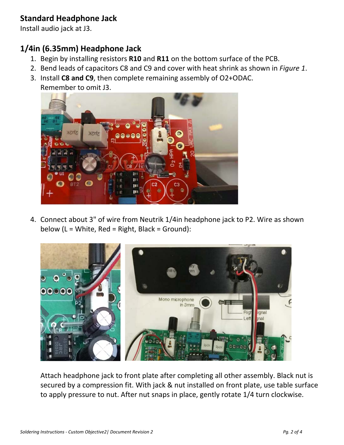## **Standard Headphone Jack**

Install audio jack at J3.

# **1/4in (6.35mm) Headphone Jack**

- 1. Begin by installing resistors **R10** and **R11** on the bottom surface of the PCB.
- 2. Bend leads of capacitors C8 and C9 and cover with heat shrink as shown in *Figure 1*.
- 3. Install **C8 and C9**, then complete remaining assembly of O2+ODAC. Remember to omit J3.



4. Connect about 3" of wire from Neutrik 1/4in headphone jack to P2. Wire as shown below (L = White, Red = Right, Black = Ground):



Attach headphone jack to front plate after completing all other assembly. Black nut is secured by a compression fit. With jack & nut installed on front plate, use table surface to apply pressure to nut. After nut snaps in place, gently rotate 1/4 turn clockwise.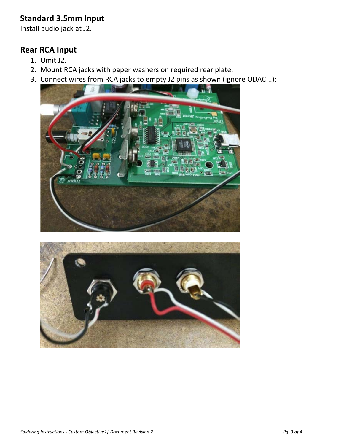## **Standard 3.5mm Input**

Install audio jack at J2.

#### **Rear RCA Input**

- 1. Omit J2.
- 2. Mount RCA jacks with paper washers on required rear plate.
- 3. Connect wires from RCA jacks to empty J2 pins as shown (ignore ODAC...):